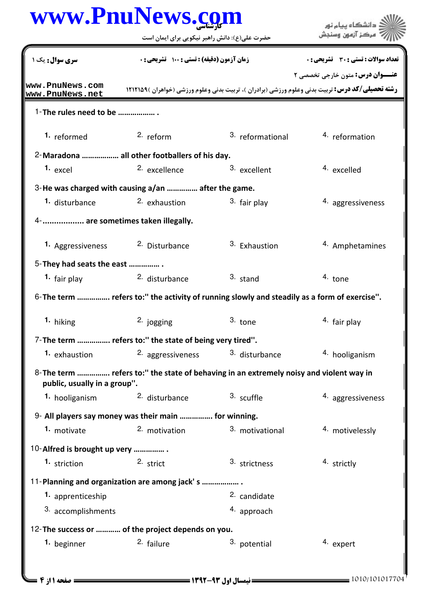| www.PnuNews.com                    | دانشگاه پیام نور                                                                            |                          |                                                                                                                                                  |
|------------------------------------|---------------------------------------------------------------------------------------------|--------------------------|--------------------------------------------------------------------------------------------------------------------------------------------------|
|                                    | حضرت علی(ع): دانش راهبر نیکویی برای ایمان است                                               | مركز آزمهن وسنجش         |                                                                                                                                                  |
| <b>سری سوال :</b> یک ۱             | زمان آزمون (دقیقه) : تستی : 100 تشریحی : 0                                                  |                          | تعداد سوالات : تستي : 30 ٪ تشريحي : 0                                                                                                            |
| www.PnuNews.com<br>www.PnuNews.net |                                                                                             |                          | <b>عنــوان درس:</b> متون خارجي تخصصي ٢<br><b>رشته تحصیلی/کد درس:</b> تربیت بدنی وعلوم ورزشی (برادران )، تربیت بدنی وعلوم ورزشی (خواهران )۱۲۱۲۱۵۹ |
| 1-The rules need to be             |                                                                                             |                          |                                                                                                                                                  |
| 1. reformed                        | $2.$ reform                                                                                 | 3. reformational         | 4. reformation                                                                                                                                   |
|                                    | 2-Maradona  all other footballers of his day.                                               |                          |                                                                                                                                                  |
| <sup>1.</sup> excel                | <sup>2.</sup> excellence                                                                    | 3. excellent             | 4. excelled                                                                                                                                      |
|                                    | 3-He was charged with causing a/an  after the game.                                         |                          |                                                                                                                                                  |
| 1. disturbance                     | 2. exhaustion                                                                               | 3. fair play             | 4. aggressiveness                                                                                                                                |
| 4-  are sometimes taken illegally. |                                                                                             |                          |                                                                                                                                                  |
| 1. Aggressiveness                  | <sup>2.</sup> Disturbance                                                                   | <sup>3.</sup> Exhaustion | 4. Amphetamines                                                                                                                                  |
| 5-They had seats the east          |                                                                                             |                          |                                                                                                                                                  |
| 1. fair play                       | <sup>2.</sup> disturbance                                                                   | $3.$ stand               | 4. tone                                                                                                                                          |
|                                    | 6-The term  refers to:" the activity of running slowly and steadily as a form of exercise". |                          |                                                                                                                                                  |
| 1. hiking                          | 2. jogging                                                                                  | 3. tone                  | 4. fair play                                                                                                                                     |
|                                    | 7- The term  refers to:" the state of being very tired".                                    |                          |                                                                                                                                                  |
| 1. exhaustion                      | 2. aggressiveness                                                                           | 3. disturbance           | 4. hooliganism                                                                                                                                   |
| public, usually in a group".       | 8- The term  refers to:" the state of behaving in an extremely noisy and violent way in     |                          |                                                                                                                                                  |
| 1. hooliganism                     | 2. disturbance                                                                              | 3. scuffle               | 4. aggressiveness                                                                                                                                |
|                                    | 9- All players say money was their main  for winning.                                       |                          |                                                                                                                                                  |
| 1. motivate                        | 2. motivation                                                                               | 3. motivational          | 4. motivelessly                                                                                                                                  |
| 10-Alfred is brought up very       |                                                                                             |                          |                                                                                                                                                  |
| 1. striction                       | 2. strict                                                                                   | 3. strictness            | 4. strictly                                                                                                                                      |
|                                    | 11-Planning and organization are among jack's                                               |                          |                                                                                                                                                  |
| 1. apprenticeship                  |                                                                                             | 2. candidate             |                                                                                                                                                  |
| 3. accomplishments                 |                                                                                             | 4. approach              |                                                                                                                                                  |
|                                    | 12-The success or  of the project depends on you.                                           |                          |                                                                                                                                                  |
| 1. beginner                        | 2. failure                                                                                  | 3. potential             | 4. expert                                                                                                                                        |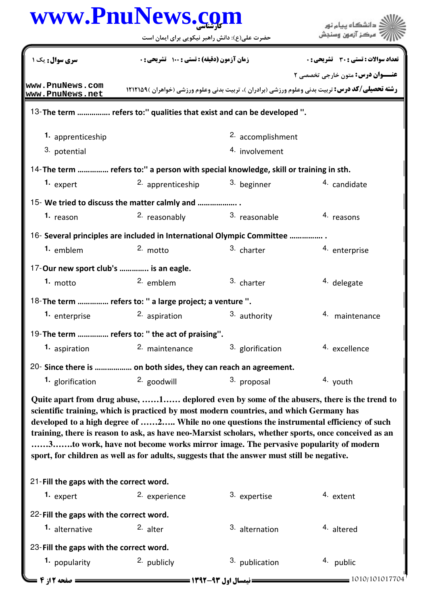## كارشناسي **[www.PnuNews.com](http://www.PnuNews.com)**

حضرت علي(ع): دانش راهبر نيكويي براي ايمان است

.<br>ڏ دانشڪاه پيا<mark>ء نور</mark><br>\* مرڪز آزمون وسنڊش

**عنـــوان درس:** متون خارجي تخصصي ٢ **رشته تحصیلی/کد درس:** تربیت بدنی وعلوم ورزشی (برادران )، تربیت بدنی وعلوم ورزشی (خواهران )۱۲۱۲۱۵۹ **با** تعداد سوالات : تستي تشريحي زمان آزمون (دقيقه) : تستي تشريحي سري سوال ' ( \*: '\*\*: \* )\*: : : 13- The term ............... refers to:" qualities that exist and can be developed ". 2. accomplishment 4. involvement 1. apprenticeship 3. potential 14- The term ............... refers to:" a person with special knowledge, skill or training in sth. **1.** expert **1.** 2. apprenticeship **1.** 3. beginner **1.** 2. candidate 15- We tried to discuss the matter calmly and .................... 1. reason and the casonably cases of the casons of the reasons cases of the casons of the reasons of the reasons 2. reasonably 16 - Several principles are included in International Olympic Committee ................ 1. emblem 2. motto 3. charter 3. enterprise <sup>3.</sup> charter 17-Our new sport club's .............. is an eagle. 1. motto  $2.$  emblem  $3.$  charter  $4.$  delegate <sup>3.</sup> charter 18- The term ............... refers to: " a large project; a venture ". 1. enterprise  $\frac{2}{3}$  aspiration  $\frac{3}{3}$  authority  $\frac{4}{3}$  maintenance 2. aspiration 19-The term ............... refers to: " the act of praising". **1.** aspiration **2.** maintenance **1.** 2. 3. glorification **1.** 2. excellence 20 - Since there is .................. on both sides, they can reach an agreement. 2. goodwill  $\frac{3}{2}$  proposal  $\frac{4}{2}$  youth **1.** glorification 21-Fill the gaps with the correct word. 1. expert and the system of the system of the system of the system of the system of the system of the system of the system of the system of the system of the system of the system of the system of the system of the system o **Quite apart from drug abuse, ……1…… deplored even by some of the abusers, there is the trend to scientific training, which is practiced by most modern countries, and which Germany has developed to a high degree of ……2….. While no one questions the instrumental efficiency of such training, there is reason to ask, as have neo-Marxist scholars, whether sports, once conceived as an ……3…….to work, have not become works mirror image. The pervasive popularity of modern sport, for children as well as for adults, suggests that the answer must still be negative.** 22-Fill the gaps with the correct word. **1.** alternative **2.** alter **2.** alternation **1.** alternation **1.** altered 23-Fill the gaps with the correct word. 1. popularity **2.** publicly **2.** 4. publication **1.** 4. publication 1010/101017704 1392-93 نيمسال اول 2 از 4 صفحه **[www.PnuNews.com](http://pnunews.com) [www.PnuNews.net](http://pnunews.net)**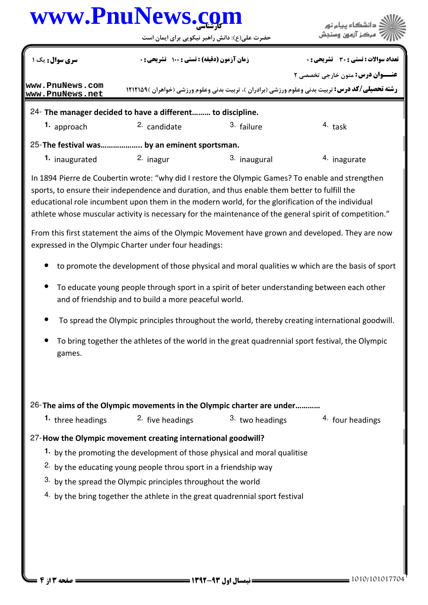|  |  | www.PnuNews.com |
|--|--|-----------------|
|--|--|-----------------|